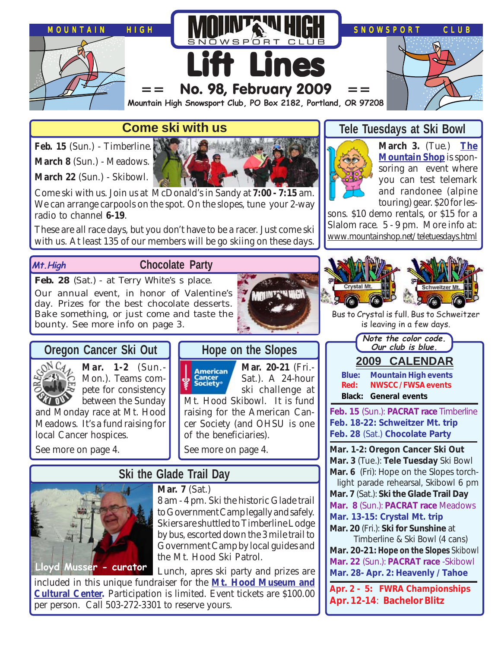

## **Come ski with us**

**Feb. 15** (Sun.) - Timberline.

**March 8** (Sun.) - Meadows.

**March 22** (Sun.) - Skibowl.



Come ski with us. Join us at McDonald's in Sandy at **7:00 - 7:15** am. We can arrange carpools on the spot. On the slopes, tune your 2-way radio to channel **6-19**.

These are all race days, but you don't have to be a racer. Just come ski with us. At least 135 of our members will be go skiing on these days.

### **Mt.High**

## **Chocolate Party**

Feb. 28 (Sat.) - at Terry White's s place. Our annual event, in honor of Valentine's day. Prizes for the best chocolate desserts. Bake something, or just come and taste the bounty. See more info on page 3.



## **Oregon Cancer Ski Out**



**Mar. 1-2** (Sun.- Mon.). Teams compete for consistency between the Sunday

and Monday race at Mt. Hood Meadows. It's a fund raising for local Cancer hospices.

See more on page 4.

# **Hope on the Slopes**

**Mar. 20-21** (Fri.- American Sat.). A 24-hour Cancer<br>Society® ski challenge at Mt. Hood Skibowl. It is fund raising for the American Cancer Society (and OHSU is one of the beneficiaries).

See more on page 4.

# **Ski the Glade Trail Day**



**Mar.** 7 **(Sat.)** 

8 am - 4 pm. Ski the historic Glade trail to Government Camp legally and safely. Skiers are shuttled to Timberline Lodge by bus, escorted down the 3 mile trail to Government Camp by local guides and the Mt. Hood Ski Patrol.

Lunch, apres ski party and prizes are

included in this unique fundraiser for the **[Mt. Hood Museum and](http://www.mthoodmuseum.org/glade08/glade08.pdf) [Cultural Center.](http://www.mthoodmuseum.org/glade08/glade08.pdf)** Participation is limited. Event tickets are \$100.00 per person. Call 503-272-3301 to reserve yours.

## **Tele Tuesdays at Ski Bowl**



**March 3.** (Tue.) **[The](http://www.mountainshop.net/teletuesdays.html) [Mountain Shop](http://www.mountainshop.net/teletuesdays.html)** is sponsoring an event where you can test telemark and randonee (alpine touring) gear. \$20 for les-

sons. \$10 demo rentals, or \$15 for a Slalom race. 5 - 9 pm. More info at: [www.mountainshop.net/teletuesdays.html](http://www.mountainshop.net/teletuesdays.html)



Bus to Crystal is full. Bus to Schweitzer is leaving in a few days.



**Feb. 15** (Sun.): **PACRAT race** Timberline **Feb. 18-22: Schweitzer Mt. trip Feb. 28** (Sat.) **Chocolate Party**

**Mar. 1-2: Oregon Cancer Ski Out Mar. 3** (Tue.): **Tele Tuesday** Ski Bowl **Mar. 6** (Fri): Hope on the Slopes torchlight parade rehearsal, Skibowl 6 pm

**Mar. 7** (Sat.): **Ski the Glade Trail Day**

**Mar. 8** (Sun.): **PACRAT race** Meadows

**Mar. 13-15: Crystal Mt. trip Mar. 20** (Fri.): **Ski for Sunshine** at

Timberline & Ski Bowl (4 cans) **Mar. 20-21: Hope on the Slopes** Skibowl

**Mar. 22** (Sun.): **PACRAT race** -Skibowl **Mar. 28- Apr. 2: Heavenly / Tahoe**

**Apr. 2 - 5: FWRA Championships Apr. 12-14**: **Bachelor Blitz**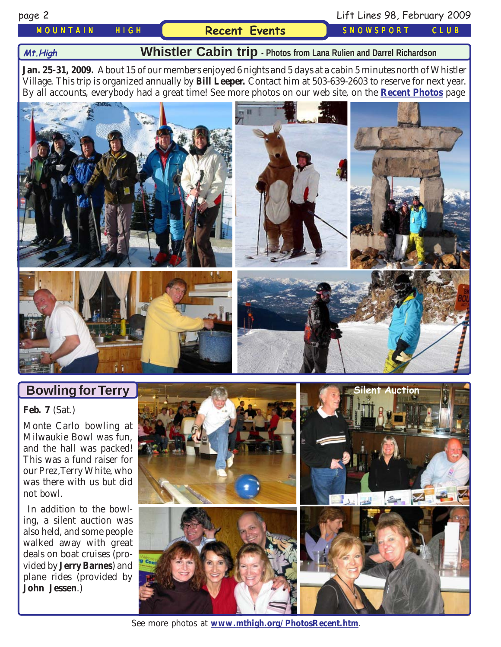### *MOUNTAIN HIGH* **Recent Events** *SNOWSPORT CLUB*

page 2 Lift Lines 98, February 2009

#### **Mt.High**

**Whistler Cabin trip - Photos from Lana Rulien and Darrel Richardson**

**Jan. 25-31, 2009.** About 15 of our members enjoyed 6 nights and 5 days at a cabin 5 minutes north of Whistler Village. This trip is organized annually by **Bill Leeper.** Contact him at 503-639-2603 to reserve for next year. By all accounts, everybody had a great time! See more photos on our web site, on the **[Recent Photos](http://www.mthigh.org/PhotosRecent.htm)** page



## **Bowling for Terry**

**Feb. 7** (Sat.)

Monte Carlo bowling at Milwaukie Bowl was fun, and the hall was packed! This was a fund raiser for our Prez,Terry White, who was there with us but did not bowl.

 In addition to the bowling, a silent auction was also held, and some people walked away with great deals on boat cruises (provided by **Jerry Barnes**) and plane rides (provided by **John Jessen**.)



See more photos at **[www.mthigh.org/PhotosRecent.htm](http://www.mthigh.org/PhotosRecent.htm)**.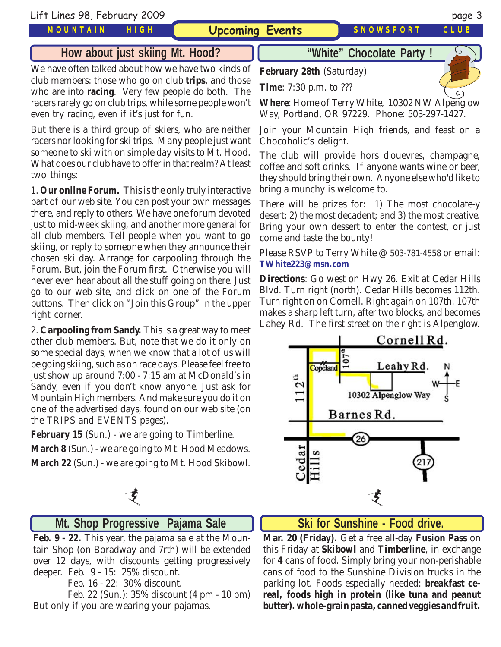#### *MOUNTAIN HIGH*

## **How about just skiing Mt. Hood?**

We have often talked about how we have two kinds of club members: those who go on club **trips**, and those who are into **racing**. Very few people do both. The racers rarely go on club trips, while some people won't even try racing, even if it's just for fun.

But there is a third group of skiers, who are neither racers nor looking for ski trips. Many people just want someone to ski with on simple day visits to Mt. Hood. What does our club have to offer in that realm? At least two things:

1. **Our online Forum.** This is the only truly interactive part of our web site. You can post your own messages there, and reply to others. We have one forum devoted just to mid-week skiing, and another more general for all club members. Tell people when you want to go skiing, or reply to someone when they announce their chosen ski day. Arrange for carpooling through the Forum. But, join the Forum first. Otherwise you will never even hear about all the stuff going on there. Just go to our web site, and click on one of the Forum buttons. Then click on "Join this Group" in the upper right corner.

2. **Carpooling from Sandy.** This is a great way to meet other club members. But, note that we do it only on some special days, when we know that a lot of us will be going skiing, such as on race days. Please feel free to just show up around 7:00 - 7:15 am at McDonald's in Sandy, even if you don't know anyone. Just ask for Mountain High members. And make sure you do it on one of the advertised days, found on our web site (on the TRIPS and EVENTS pages).

**February 15** (Sun.) - we are going to Timberline. **March 8** (Sun.) - we are going to Mt. Hood Meadows.

**March 22** (Sun.) - we are going to Mt. Hood Skibowl.



## **Mt. Shop Progressive Pajama Sale**

**Feb. 9 - 22.** This year, the pajama sale at the Mountain Shop (on Boradway and 7rth) will be extended over 12 days, with discounts getting progressively deeper. Feb. 9 - 15: 25% discount.

Feb. 16 - 22: 30% discount.

 Feb. 22 (Sun.): 35% discount (4 pm - 10 pm) But only if you are wearing your pajamas.

**"White" Chocolate Party !**

**February 28th** (Saturday)

**Time**: 7:30 p.m. to ???

**Where**: Home of Terry White, 10302 NW Alpenglow Way, Portland, OR 97229. Phone: 503-297-1427.

Join your Mountain High friends, and feast on a Chocoholic's delight.

The club will provide hors d'ouevres, champagne, coffee and soft drinks. If anyone wants wine or beer, they should bring their own. Anyone else who'd like to bring a munchy is welcome to.

There will be prizes for: 1) The most chocolate-y desert; 2) the most decadent; and 3) the most creative. Bring your own dessert to enter the contest, or just come and taste the bounty!

Please RSVP to Terry White @ 503-781-4558 or email: **[TWhite223@msn.com](mailto:TWhite223@msn.com)**

**Directions**: Go west on Hwy 26. Exit at Cedar Hills Blvd. Turn right (north). Cedar Hills becomes 112th. Turn right on on Cornell. Right again on 107th. 107th makes a sharp left turn, after two blocks, and becomes Lahey Rd. The first street on the right is Alpenglow.



#### **Ski for Sunshine - Food drive.**

**Mar. 20 (Friday).** Get a free all-day **Fusion Pass** on this Friday at **Skibowl** and **Timberline**, in exchange for **4** cans of food. Simply bring your non-perishable cans of food to the Sunshine Division trucks in the parking lot. Foods especially needed: **breakfast cereal, foods high in protein (like tuna and peanut butter). whole-grain pasta, canned veggies and fruit.**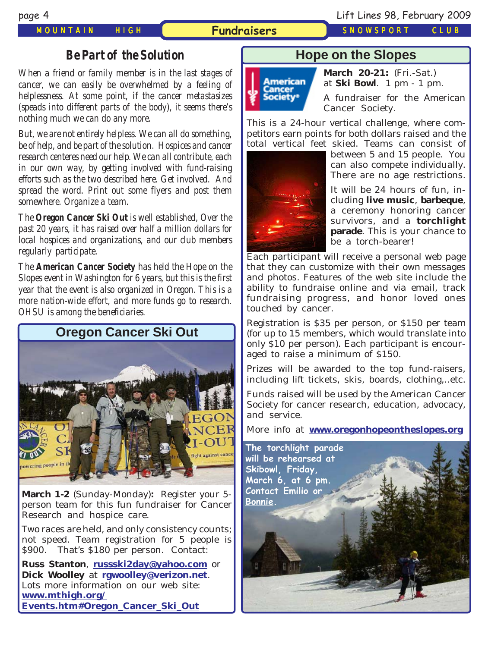#### *MOUNTAIN HIGH* **Fundraisers** *SNOWSPORT CLUB*

**Hope on the Slopes**



**March 20-21:** (Fri.-Sat.) at **Ski Bowl**. 1 pm - 1 pm.

A fundraiser for the American Cancer Society.

This is a 24-hour vertical challenge, where competitors earn points for both dollars raised and the total vertical feet skied. Teams can consist of



between 5 and 15 people. You can also compete individually. There are no age restrictions.

It will be 24 hours of fun, including **live music**, **barbeque**, a ceremony honoring cancer survivors, and a **torchlight parade**. This is your chance to be a torch-bearer!

Each participant will receive a personal web page that they can customize with their own messages and photos. Features of the web site include the ability to fundraise online and via email, track fundraising progress, and honor loved ones touched by cancer.

Registration is \$35 per person, or \$150 per team (for up to 15 members, which would translate into only \$10 per person). Each participant is encouraged to raise a minimum of \$150.

Prizes will be awarded to the top fund-raisers, including lift tickets, skis, boards, clothing,..etc.

Funds raised will be used by the American Cancer Society for cancer research, education, advocacy, and service.

More info at **[www.oregonhopeontheslopes.org](http://www.oregonhopeontheslopes.org/)**



#### *Be Part of the Solution*

*When a friend or family member is in the last stages of cancer, we can easily be overwhelmed by a feeling of helplessness. At some point, if the cancer metastasizes (speads into different parts of the body), it seems there's nothing much we can do any more.*

*But, we are not entirely helpless. We can all do something, be of help, and be part of the solution. Hospices and cancer research centeres need our help. We can all contribute, each in our own way, by getting involved with fund-raising efforts such as the two described here. Get involved. And spread the word. Print out some flyers and post them somewhere. Organize a team.*

*The Oregon Cancer Ski Out is well established, Over the past 20 years, it has raised over half a million dollars for local hospices and organizations, and our club members regularly participate.*

*The American Cancer Society has held the Hope on the Slopes event in Washington for 6 years, but this is the first year that the event is also organized in Oregon. This is a more nation-wide effort, and more funds go to research. OHSU is among the beneficiaries.*



**March 1-2** (Sunday-Monday)**:** Register your 5 person team for this fun fundraiser for Cancer Research and hospice care.

Two races are held, and only consistency counts; not speed. Team registration for 5 people is \$900. That's \$180 per person. Contact:

**Russ Stanton**, **[russski2day@yahoo.com](mailto:russski2day@yahoo.com)** or **Dick Woolley** at **[rgwoolley@verizon.net](mailto:rgwoolley@verizon.net)**. Lots more information on our web site: **[www.mthigh.org/](http://www.mthigh.org/Events.htm#Oregon_Cancer_Ski_Out) [Events.htm#Oregon\\_Cancer\\_Ski\\_Out](http://www.mthigh.org/Events.htm#Oregon_Cancer_Ski_Out)**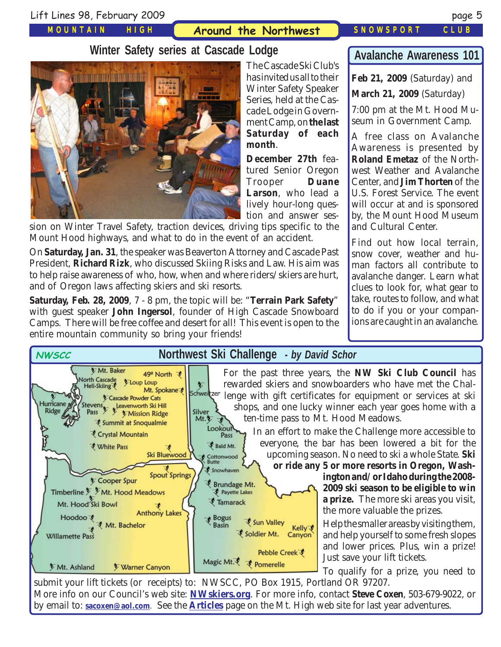*MOUNTAIN HIGH*

## **Around the Northwest** *SNOWSPORT CLUB*

**month**.

The Cascade Ski Club's has invited us all to their Winter Safety Speaker Series, held at the Cascade Lodge in Government Camp, on **the last Saturday of each**

**December 27th** featured Senior Oregon Trooper **Duane Larson**, who lead a lively hour-long question and answer ses-

**Winter Safety series at Cascade Lodge**



sion on Winter Travel Safety, traction devices, driving tips specific to the Mount Hood highways, and what to do in the event of an accident.

On **Saturday, Jan. 31**, the speaker was Beaverton Attorney and Cascade Past President, **Richard Rizk**, who discussed Skiing Risks and Law. His aim was to help raise awareness of who, how, when and where riders/skiers are hurt, and of Oregon laws affecting skiers and ski resorts.

**Saturday, Feb. 28, 2009**, 7 - 8 pm, the topic will be: "**Terrain Park Safety**" with guest speaker **John Ingersol**, founder of High Cascade Snowboard Camps. There will be free coffee and desert for all! This event is open to the entire mountain community so bring your friends!

## **Avalanche Awareness 101**

**Feb 21, 2009** (Saturday) and

**March 21, 2009** (Saturday)

7:00 pm at the Mt. Hood Museum in Government Camp.

A free class on Avalanche Awareness is presented by **Roland Emetaz** of the Northwest Weather and Avalanche Center, and **Jim Thorten** of the U.S. Forest Service. The event will occur at and is sponsored by, the Mount Hood Museum and Cultural Center.

Find out how local terrain, snow cover, weather and human factors all contribute to avalanche danger. Learn what clues to look for, what gear to take, routes to follow, and what to do if you or your companions are caught in an avalanche.

| Mt. Baker<br>For the past three years, the NW Ski Club Council has<br>49° North ず<br><b>North Cascade</b><br><i>V</i> Loup Loup<br>rewarded skiers and snowboarders who have met the Chal-<br>Heli-Skiing<br>Mt. Spokane<br>Schweitzer<br>lenge with gift certificates for equipment or services at ski<br><b><i>Cascade Powder Cats</i></b><br>Hurricane<br>Stevens,<br>shops, and one lucky winner each year goes home with a<br><b>Ridge</b><br>Silver<br>Pass<br><b><i>V</i></b> Mission Ridge<br>ten-time pass to Mt. Hood Meadows.<br>Mt.を<br>₹ Summit at Snoqualmie<br>Lookout<br>In an effort to make the Challenge more accessible to<br>₹ Crystal Mountain<br>everyone, the bar has been lowered a bit for the<br>Bald Mt.<br><b>そ White Pass</b><br>upcoming season. No need to ski a whole State. Ski<br>Ski Bluewood<br>Cottonwood<br>Butte<br>or ride any 5 or more resorts in Oregon, Wash-<br>Snowhaven<br><b>Spout Springs</b><br>Cooper Spur<br>Brundage Mt.<br>Timberline * * Mt. Hood Meadows<br>Payette Lakes<br>a prize. The more ski areas you visit,<br><b><i>E</i></b> Tamarack<br>Mt. Hood Ski Bowl<br>the more valuable the prizes.<br><b>Anthony Lakes</b><br>Hoodoo <sup>t</sup> | <b>NWSCC</b> | Northwest Ski Challenge - by David Schor |                                                                                                                                                                                                                                                    |
|---------------------------------------------------------------------------------------------------------------------------------------------------------------------------------------------------------------------------------------------------------------------------------------------------------------------------------------------------------------------------------------------------------------------------------------------------------------------------------------------------------------------------------------------------------------------------------------------------------------------------------------------------------------------------------------------------------------------------------------------------------------------------------------------------------------------------------------------------------------------------------------------------------------------------------------------------------------------------------------------------------------------------------------------------------------------------------------------------------------------------------------------------------------------------------------------------------------|--------------|------------------------------------------|----------------------------------------------------------------------------------------------------------------------------------------------------------------------------------------------------------------------------------------------------|
| Kelly す<br>Soldier Mt.<br>Canyon<br>Willamette Pass<br>Pebble Creek で<br>Just save your lift tickets.<br>Magic Mt. そ vomerelle<br><b>Varner Canyon</b><br>Mt. Ashland                                                                                                                                                                                                                                                                                                                                                                                                                                                                                                                                                                                                                                                                                                                                                                                                                                                                                                                                                                                                                                         | Mt. Bachelor | <b>Bogus</b><br>Basin<br>₹ Sun Valley    | ington and/or Idaho during the 2008-<br>2009 ski season to be eligible to win<br>Help the smaller areas by visiting them,<br>and help yourself to some fresh slopes<br>and lower prices. Plus, win a prize!<br>To qualify for a prize, you need to |

submit your lift tickets (or receipts) to: NWSCC, PO Box 1915, Portland OR 97207. More info on our Council's web site: **[NWskiers.org](http://www.nwskiers.org/)**. For more info, contact **Steve Coxen**, 503-679-9022, or by email to: **[sacoxen@aol.com](mailto:sacoxen@aol.com)**. See the **[Articles](http://www.mthigh.org/Articles.htm)** page on the Mt. High web site for last year adventures.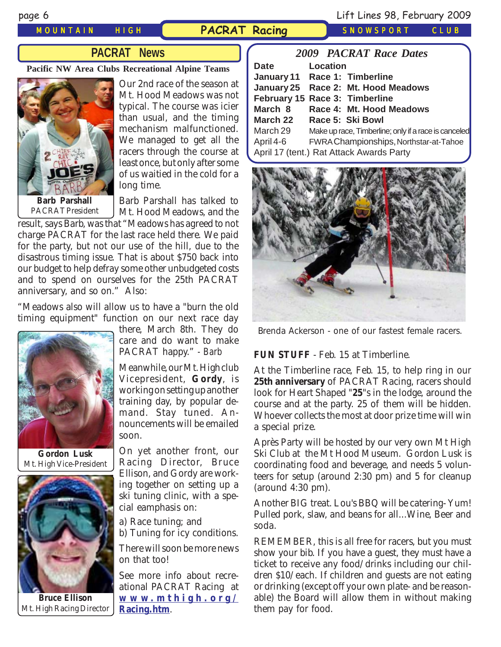#### *MOUNTAIN HIGH* **PACRAT Racing** *SNOWSPORT CLUB*

page 6 Lift Lines 98, February 2009

## **PACRAT News**

**Pacific NW Area Clubs Recreational Alpine Teams**



Our 2nd race of the season at Mt. Hood Meadows was not typical. The course was icier than usual, and the timing mechanism malfunctioned. We managed to get all the racers through the course at least once, but only after some of us waitied in the cold for a long time.

PACRAT President

Barb Parshall has talked to Mt. Hood Meadows, and the

result, says Barb, was that "Meadows has agreed to not charge PACRAT for the last race held there. We paid for the party, but not our use of the hill, due to the disastrous timing issue. That is about \$750 back into our budget to help defray some other unbudgeted costs and to spend on ourselves for the 25th PACRAT anniversary, and so on." Also:

"Meadows also will allow us to have a "burn the old timing equipment" function on our next race day



**Gordon Lusk** Mt. High Vice-President



**Bruce Ellison** [Mt. High Racing Director](http://www.mthigh.org/Racing.htm)

there, March 8th. They do care and do want to make PACRAT happy." *- Barb*

Meanwhile, our Mt. High club Vicepresident, **Gordy**, is working on setting up another training day, by popular demand. Stay tuned. Announcements will be emailed soon.

On yet another front, our Racing Director, Bruce Ellison, and Gordy are working together on setting up a ski tuning clinic, with a special eamphasis on:

a) Race tuning; and b) Tuning for icy conditions.

There will soon be more news on that too!

See more info about recreational PACRAT Racing at **www [.mthigh.or](http://www.mthigh.org/Racing.htm) g / Racing.htm**.

|             | <b>2009 PACRAT Race Dates</b>                        |
|-------------|------------------------------------------------------|
| <b>Date</b> | Location                                             |
|             | January 11 Race 1: Timberline                        |
|             | January 25 Race 2: Mt. Hood Meadows                  |
|             | February 15 Race 3: Timberline                       |
| March 8     | Race 4: Mt. Hood Meadows                             |
| March 22    | Race 5: Ski Bowl                                     |
| March 29    | Make up race, Timberline; only if a race is canceled |
| April 4-6   | FWRA Championships, Northstar-at-Tahoe               |
|             | April 17 (tent.) Rat Attack Awards Party             |



Brenda Ackerson - one of our fastest female racers.

#### **FUN STUFF** - Feb. 15 at Timberline.

At the Timberline race, Feb. 15, to help ring in our **25th anniversary** of PACRAT Racing, racers should look for Heart Shaped "**25**"s in the lodge, around the course and at the party. 25 of them will be hidden. Whoever collects the most at door prize time will win a special prize.

Après Party will be hosted by our very own Mt High Ski Club at the Mt Hood Museum. Gordon Lusk is coordinating food and beverage, and needs 5 volunteers for setup (around 2:30 pm) and 5 for cleanup (around 4:30 pm).

Another BIG treat. Lou's BBQ will be catering- Yum! Pulled pork, slaw, and beans for all...Wine, Beer and soda.

REMEMBER, this is all free for racers, but you must show your bib. If you have a guest, they must have a ticket to receive any food/drinks including our children \$10/each. If children and guests are not eating or drinking (except off your own plate- and be reasonable) the Board will allow them in without making them pay for food.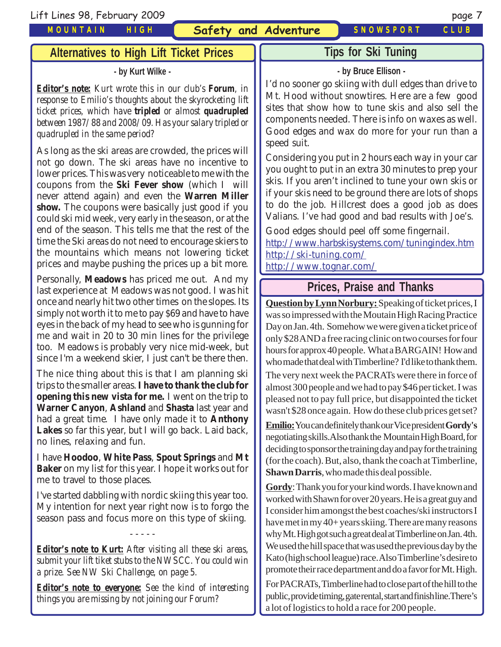Lift Lines 98, February 2009 page 7

*MOUNTAIN HIGH*

**Safety and Adventure** *SNOWSPORT CLUB*

# **Tips for Ski Tuning**

### **- by Bruce Ellison -**

I'd no sooner go skiing with dull edges than drive to Mt. Hood without snowtires. Here are a few good sites that show how to tune skis and also sell the components needed. There is info on waxes as well. Good edges and wax do more for your run than a speed suit.

Considering you put in 2 hours each way in your car you ought to put in an extra 30 minutes to prep your skis. If you aren't inclined to tune your own skis or if your skis need to be ground there are lots of shops to do the job. Hillcrest does a good job as does Valians. I've had good and bad results with Joe's.

Good edges should peel off some fingernail. <http://www.harbskisystems.com/tuningindex.htm> <http://ski-tuning.com/>

<http://www.tognar.com/>

## **Prices, Praise and Thanks**

**Question by Lynn Norbury:** Speaking of ticket prices, I was so impressed with the Moutain High Racing Practice Day on Jan. 4th. Somehow we were given a ticket price of only \$28 AND a free racing clinic on two courses for four hours for approx 40 people. What a BARGAIN! How and who made that deal with Timberline? I'd like to thank them. The very next week the PACRATs were there in force of almost 300 people and we had to pay \$46 per ticket. I was pleased not to pay full price, but disappointed the ticket wasn't \$28 once again. How do these club prices get set?

**Emilio:** You can definitely thank our Vice president **Gordy's** negotiating skills.Also thank the Mountain High Board, for deciding to sponsor the training day and pay for the training (for the coach). But, also, thank the coach at Timberline, **Shawn Darris**, who made this deal possible.

**Gordy**: Thank you for your kind words. I have known and worked with Shawn for over 20 years. He is a great guy and I consider him amongst the best coaches/ski instructors I have met in my 40+ years skiing. There are many reasons why Mt. High got such a great deal at Timberline on Jan. 4th. We used the hill space that was used the previous day by the Kato (high school league) race. Also Timberline's desire to promote their race department and do a favor for Mt. High.

For PACRATs, Timberline had to close part of the hill to the public, provide timing, gate rental, start and finish line.There's a lot of logistics to hold a race for 200 people.

**Alternatives to High Lift Ticket Prices**

#### **- by Kurt Wilke -**

*Editor's note: Kurt wrote this in our club's Forum, in response to Emilio's thoughts about the skyrocketing lift ticket prices, which have tripled or almost quadrupled between 1987/88 and 2008/09. Has your salary tripled or quadrupled in the same period?*

As long as the ski areas are crowded, the prices will not go down. The ski areas have no incentive to lower prices. This was very noticeable to me with the coupons from the **Ski Fever show** (which I will never attend again) and even the **Warren Miller show.** The coupons were basically just good if you could ski mid week, very early in the season, or at the end of the season. This tells me that the rest of the time the Ski areas do not need to encourage skiers to the mountains which means not lowering ticket prices and maybe pushing the prices up a bit more.

Personally, **Meadows** has priced me out. And my last experience at Meadows was not good. I was hit once and nearly hit two other times on the slopes. Its simply not worth it to me to pay \$69 and have to have eyes in the back of my head to see who is gunning for me and wait in 20 to 30 min lines for the privilege too. Meadows is probably very nice mid-week, but since I'm a weekend skier, I just can't be there then.

The nice thing about this is that I am planning ski trips to the smaller areas. **I have to thank the club for opening this new vista for me.** I went on the trip to **Warner Canyon**, **Ashland** and **Shasta** last year and had a great time. I have only made it to **Anthony Lakes** so far this year, but I will go back. Laid back, no lines, relaxing and fun.

I have **Hoodoo**, **White Pass**, **Spout Springs** and **Mt Baker** on my list for this year. I hope it works out for me to travel to those places.

I've started dabbling with nordic skiing this year too. My intention for next year right now is to forgo the season pass and focus more on this type of skiing.

- - - - -

*Editor's note to Kurt: After visiting all these ski areas, submit your lift tiket stubs to the NWSCC. You could win a prize. See NW Ski Challenge, on page 5.*

*Editor's note to everyone: See the kind of interesting things you are missing by not joining our Forum?*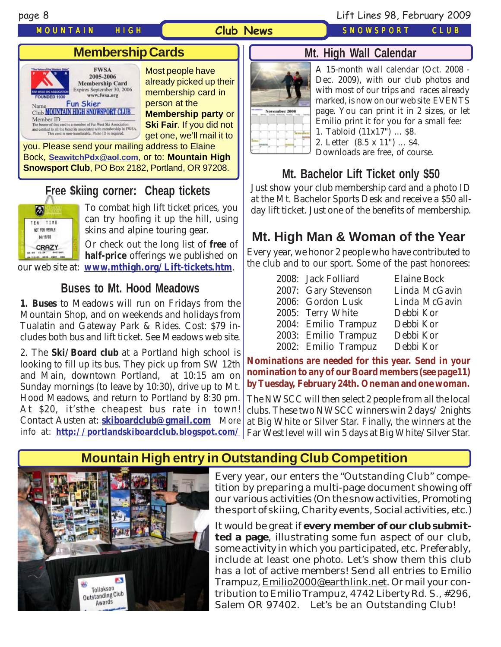#### *MOUNTAIN HIGH SNOWSPORT CLUB*

#### **Club News**

#### page 8 Lift Lines 98, February 2009

## **Membership Cards**



Most people have already picked up their membership card in person at the

**Membership party** or **Ski Fair**. If you did not get one, we'll mail it to

you. Please send your mailing address to Elaine Bock, **[SeawitchPdx@aol.com](mailto:seawitchpdx@aol.com)**, or to: **Mountain High Snowsport Club**, PO Box 2182, Portland, OR 97208.

## **Free \$kiing corner: Cheap tickets**



To combat high lift ticket prices, you can try hoofing it up the hill, using skins and alpine touring gear.

Or check out the long list of **free** of **half-price** offerings we published on our web site at: **[www.mthigh.org/Lift-tickets.htm](http://www.mthigh.org/Lift-tickets.htm)**.

## **Buses to Mt. Hood Meadows**

**1. Buses** to Meadows will run on Fridays from the Mountain Shop, and on weekends and holidays from Tualatin and Gateway Park & Rides. Cost: \$79 includes both bus and lift ticket. See Meadows web site.

2. The **Ski/Board club** at a Portland high school is looking to fill up its bus. They pick up from SW 12th and Main, downtown Portland, at 10:15 am on Sunday mornings (to leave by 10:30), drive up to Mt. Hood Meadows, and return to Portland by 8:30 pm. At \$20, it'sthe cheapest bus rate in town! Contact Austen at: **[skiboardclub@gmail.com](mailto:skiboardclub@gmail.com)** More info at: **<http://portlandskiboardclub.blogspot.com/>**



## **Mt. High Wall Calendar**

A 15-month wall calendar (Oct. 2008 - Dec. 2009), with our club photos and with most of our trips and races already marked, is now on our web site EVENTS page. You can print it in 2 sizes, or let Emilio print it for you for a small fee: 1. Tabloid (11x17") ... \$8. 2. Letter (8.5 x 11") ... \$4.

Downloads are free, of course.

## **Mt. Bachelor Lift Ticket only \$50**

Just show your club membership card and a photo ID at the Mt. Bachelor Sports Desk and receive a \$50 allday lift ticket. Just one of the benefits of membership.

## **Mt. High Man & Woman of the Year**

Every year, we honor 2 people who have contributed to the club and to our sport. Some of the past honorees:

|  | 2008: Jack Folliard  | <b>Elaine Bock</b> |
|--|----------------------|--------------------|
|  | 2007: Gary Stevenson | Linda McGavin      |
|  | 2006: Gordon Lusk    | Linda McGavin      |
|  | 2005: Terry White    | Debbi Kor          |
|  | 2004: Emilio Trampuz | Debbi Kor          |
|  | 2003: Emilio Trampuz | Debbi Kor          |
|  | 2002: Emilio Trampuz | Debbi Kor          |

**Nominations are needed for this year. Send in your nomination to any of our Board members (see page11) by Tuesday, February 24th. One man and one woman.**

The NWSCC will then select 2 people from all the local clubs. These two NWSCC winners win 2 days/ 2nights at Big White or Silver Star. Finally, the winners at the Far West level will win 5 days at Big White/Silver Star.

## **Mountain High entry in Outstanding Club Competition**



Every year, our enters the "Outstanding Club" competition by preparing a multi-page document showing off our various activities (On the snow activities, Promoting the sport of skiing, Charity events, Social activities, etc.)

It would be great if **every member of our club submitted a page**, illustrating some fun aspect of our club, some activity in which you participated, etc. Preferably, include at least one photo. Let's show them this club has a lot of active members! Send all entries to Emilio Trampuz, Emilio2000@earthlink.net. Or mail your contribution to Emilio Trampuz, 4742 Liberty Rd. S., #296, Salem OR 97402. Let's be an Outstanding Club!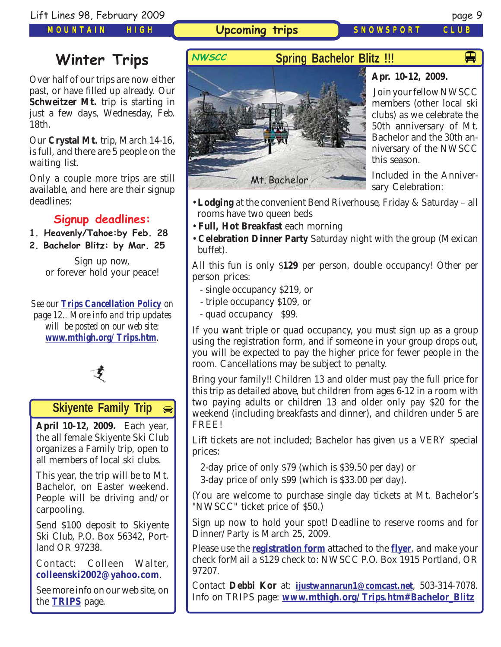*MOUNTAIN HIGH*

**Upcoming trips** *SNOWSPORT CLUB*

 $\blacksquare$ 

# **Winter Trips** NWSCC

Over half of our trips are now either past, or have filled up already. Our **Schweitzer Mt.** trip is starting in just a few days, Wednesday, Feb. 18th.

Our **Crystal Mt.** trip, March 14-16, is full, and there are 5 people on the waiting list.

Only a couple more trips are still available, and here are their signup deadlines:

## **Signup deadlines:**

- **1. Heavenly/Tahoe:by Feb. 28**
- **2. Bachelor Blitz: by Mar. 25**

Sign up now, or forever hold your peace!

*See our [Trips Cancellation Policy](http://www.mthigh.org/Documents/Trip-Cancellation-Policy.pdf) on page 12.. More info and trip updates will be posted on our web site: [www.mthigh.org/Trips.htm](http://www.mthigh.org/Trips.htm).*



#### **Skiyente Family Trip**  $\bigoplus$

**April 10-12, 2009.** Each year, the all female Skiyente Ski Club organizes a Family trip, open to all members of local ski clubs.

This year, the trip will be to Mt. Bachelor, on Easter weekend. People will be driving and/or carpooling.

Send \$100 deposit to Skiyente Ski Club, P.O. Box 56342, Portland OR 97238.

Contact: Colleen Walter, **[colleenski2002@yahoo.com](mailto:colleenski2002@yahoo.com)**.

See more info on our web site, on the **[TRIPS](http://www.mthigh.org/Trips.htm)** page.

**Spring Bachelor Blitz !!!**



### **Apr. 10-12, 2009.**

 Join your fellow NWSCC members (other local ski clubs) as we celebrate the 50th anniversary of Mt. Bachelor and the 30th anniversary of the NWSCC this season.

Included in the Anniversary Celebration:

- **Lodging** at the convenient Bend Riverhouse, Friday & Saturday all rooms have two queen beds
- **Full, Hot Breakfast** each morning
- **Celebration Dinner Party** Saturday night with the group (Mexican buffet).

All this fun is only \$**129** per person, double occupancy! Other per person prices:

- single occupancy \$219, or
- triple occupancy \$109, or
- quad occupancy \$99.

If you want triple or quad occupancy, you must sign up as a group using the registration form, and if someone in your group drops out, you will be expected to pay the higher price for fewer people in the room. Cancellations may be subject to penalty.

Bring your family!! Children 13 and older must pay the full price for this trip as detailed above, but children from ages 6-12 in a room with two paying adults or children 13 and older only pay \$20 for the weekend (including breakfasts and dinner), and children under 5 are FREE!

Lift tickets are not included; Bachelor has given us a VERY special prices:

2-day price of only \$79 (which is \$39.50 per day) or

3-day price of only \$99 (which is \$33.00 per day).

(You are welcome to purchase single day tickets at Mt. Bachelor's "NWSCC" ticket price of \$50.)

Sign up now to hold your spot! Deadline to reserve rooms and for Dinner/Party is March 25, 2009.

Please use the **[registration form](http://www.mthigh.org/Trips/2009%20Blitz%20Flyer-April.pdf)** attached to the **[flyer](http://www.mthigh.org/Trips/2009%20Blitz%20Flyer-April.pdf)**, and make your check forMail a \$129 check to: NWSCC P.O. Box 1915 Portland, OR 97207.

Contact **Debbi Kor** at: **[ijustwannarun1@comcast.net](mailto:Ijustwannarun1@comcast.net)**, 503-314-7078. Info on TRIPS page: **[www.mthigh.org/Trips.htm#Bachelor\\_Blitz](http://www.mthigh.org/Trips.htm#Bachelor_Blitz)**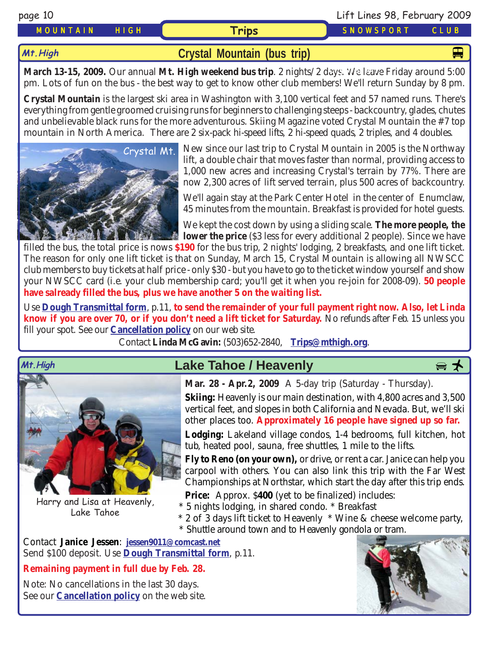**Mt.High**

## *MOUNTAIN HIGH* **Trips** *SNOWSPORT CLUB*

**[Crystal Mountain \(bus trip\)](http://www.crystalmt.com/)**

**March 13-15, 2009.** Our annual Mt. High weekend bus trip. 2 nights/2 days. We leave Friday around 5:00 pm. Lots of fun on the bus - the best way to get to know other club members! We'll return Sunday by 8 pm.

**Crystal Mountain** is the largest ski area in Washington with 3,100 vertical feet and 57 named runs. There's everything from gentle groomed cruising runs for beginners to challenging steeps - backcountry, glades, chutes and unbelievable black runs for the more adventurous. Skiing Magazine voted Crystal Mountain the #7 top mountain in North America. There are 2 six-pack hi-speed lifts, 2 hi-speed quads, 2 triples, and 4 doubles.

[Crystal Mt.](http://www.crystalmt.com/)

New since our last trip to Crystal Mountain in 2005 is the Northway lift, a double chair that moves faster than normal, providing access to 1,000 new acres and increasing Crystal's terrain by 77%. There are now 2,300 acres of lift served terrain, plus 500 acres of backcountry.

We'll again stay at the Park Center Hotel in the center of Enumclaw, 45 minutes from the mountain. Breakfast is provided for hotel guests.

We kept the cost down by using a sliding scale. **The more people, the lower the price** (\$3 less for every additional 2 people). Since we have

filled the bus, the total price is nows **\$190** for the bus trip, 2 nights' lodging, 2 breakfasts, and one lift ticket. The reason for only one lift ticket is that on Sunday, March 15, Crystal Mountain is allowing all NWSCC club members to buy tickets at half price - only \$30 - but you have to go to the ticket window yourself and show your NWSCC card (i.e. your club membership card; you'll get it when you re-join for 2008-09). **50 people have salready filled the bus, plus we have another 5 on the waiting list.**

Use **[Dough Transmittal form](http://www.mthigh.org/Documents/DOUGH%20TRANSMITTAL%20FORM.pdf)**, p.11, **to send the remainder of your full payment right now. Also, let Linda know if you are over 70, or if you don't need a lift ticket for Saturday.** No refunds after Feb. 15 unless you fill your spot. See our **[Cancellation policy](http://www.mthigh.org/Documents/Trip-Cancellation-Policy.pdf)** on our web site.

Contact **Linda McGavin:** (503)652-2840, **[Trips@mthigh.org](mailto:Trips@mthigh.org)**.





Harry and Lisa at Heavenly, Lake Tahoe

# Mt.High **Download Cake Tahoe / Heavenly**

**Mar. 28 - Apr.2, 2009** A 5-day trip (Saturday - Thursday).

**Skiing:** Heavenly is our main destination, with 4,800 acres and 3,500 vertical feet, and slopes in both California and Nevada. But, we'll ski other places too. **Approximately 16 people have signed up so far.**

**Lodging:** Lakeland village condos, 1-4 bedrooms, full kitchen, hot tub, heated pool, sauna, free shuttles, 1 mile to the lifts.

**Fly to Reno (on your own),** or drive, or rent a car. Janice can help you carpool with others. You can also link this trip with the Far West Championships at Northstar, which start the day after this trip ends.

**Price:** Approx. \$**400** (yet to be finalized) includes:

- \* 5 nights lodging, in shared condo. \* Breakfast
- \* 2 of 3 days lift ticket to Heavenly \* Wine & cheese welcome party,
- \* Shuttle around town and to Heavenly gondola or tram.

Contact **Janice Jessen**: **[jessen9011@comcast.net](mailto:jessen9011@comcast.net)** Send \$100 deposit. Use **[Dough Transmittal form](http://www.mthigh.org/Documents/DOUGH%20TRANSMITTAL%20FORM.pdf)**, p.11.

### **Remaining payment in full due by Feb. 28.**

Note: No cancellations in the last 30 days. See our **[Cancellation policy](http://www.mthigh.org/Documents/Trip-Cancellation-Policy.pdf)** on the web site.



page 10 Lift Lines 98, February 2009



 $\blacksquare$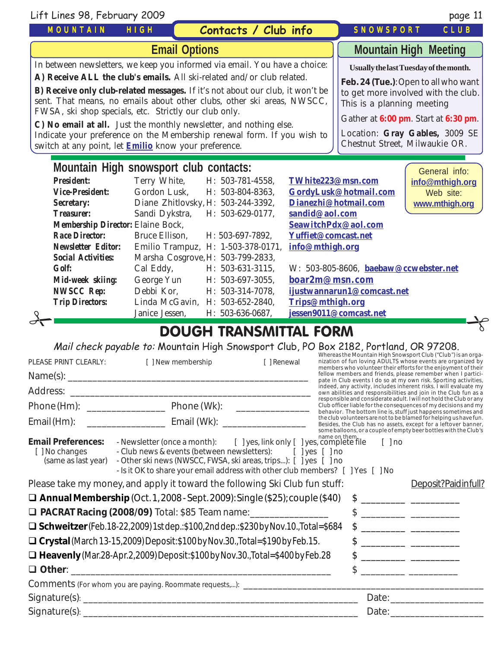| Lift Lines 98, February 2009                                                                                                                                                                                                                                                                                                                                                                                    |                                                                            |                                    |                                                                                                          |                                       | page 11                                |
|-----------------------------------------------------------------------------------------------------------------------------------------------------------------------------------------------------------------------------------------------------------------------------------------------------------------------------------------------------------------------------------------------------------------|----------------------------------------------------------------------------|------------------------------------|----------------------------------------------------------------------------------------------------------|---------------------------------------|----------------------------------------|
| <b>MOUNTAIN</b>                                                                                                                                                                                                                                                                                                                                                                                                 | HIGH                                                                       | Contacts / Club info               |                                                                                                          | SNOWSPORT                             | CLUB                                   |
|                                                                                                                                                                                                                                                                                                                                                                                                                 | <b>Email Options</b>                                                       |                                    |                                                                                                          |                                       | <b>Mountain High Meeting</b>           |
|                                                                                                                                                                                                                                                                                                                                                                                                                 | In between newsletters, we keep you informed via email. You have a choice: |                                    |                                                                                                          |                                       | Usually the last Tuesday of the month. |
| A) Receive ALL the club's emails. All ski-related and/or club related.<br>Feb. 24 (Tue.): Open to all who want<br><b>B) Receive only club-related messages.</b> If it's not about our club, it won't be<br>to get more involved with the club.<br>sent. That means, no emails about other clubs, other ski areas, NWSCC,<br>This is a planning meeting<br>FWSA, ski shop specials, etc. Strictly our club only. |                                                                            |                                    |                                                                                                          |                                       |                                        |
| C) No email at all. Just the monthly newsletter, and nothing else.<br>Indicate your preference on the Membership renewal form. If you wish to<br>switch at any point, let <b>Emilio</b> know your preference.                                                                                                                                                                                                   |                                                                            |                                    | Gather at 6:00 pm. Start at 6:30 pm.<br>Location: Gray Gables, 3009 SE<br>Chestnut Street, Milwaukie OR. |                                       |                                        |
| Mountain High snowsport club contacts:<br>General info:                                                                                                                                                                                                                                                                                                                                                         |                                                                            |                                    |                                                                                                          |                                       |                                        |
| <b>President:</b>                                                                                                                                                                                                                                                                                                                                                                                               | Terry White,                                                               | H: 503-781-4558,                   | TWhite223@msn.com                                                                                        |                                       | info@mthigh.org                        |
| <b>Vice-President:</b>                                                                                                                                                                                                                                                                                                                                                                                          | Gordon Lusk,                                                               | H: 503-804-8363,                   |                                                                                                          | GordyLusk@hotmail.com                 | Web site:                              |
| <b>Secretary:</b>                                                                                                                                                                                                                                                                                                                                                                                               |                                                                            | Diane Zhitlovsky, H: 503-244-3392, |                                                                                                          | Dianezhi@hotmail.com                  | www.mthigh.org                         |
| <b>Treasurer:</b>                                                                                                                                                                                                                                                                                                                                                                                               | Sandi Dykstra,                                                             | H: 503-629-0177,                   | sandid@aol.com                                                                                           |                                       |                                        |
| <b>Membership Director: Elaine Bock,</b><br>SeawitchPdx@aol.com                                                                                                                                                                                                                                                                                                                                                 |                                                                            |                                    |                                                                                                          |                                       |                                        |
| <b>Race Director:</b>                                                                                                                                                                                                                                                                                                                                                                                           | <b>Bruce Ellison.</b>                                                      | H: 503-697-7892.                   | Yuffiet@comcast.net                                                                                      |                                       |                                        |
| <b>Newsletter Editor:</b>                                                                                                                                                                                                                                                                                                                                                                                       |                                                                            | Emilio Trampuz, H: 1-503-378-0171, | info@mthigh.org                                                                                          |                                       |                                        |
| <b>Social Activities:</b>                                                                                                                                                                                                                                                                                                                                                                                       |                                                                            | Marsha Cosgrove, H: 503-799-2833,  |                                                                                                          |                                       |                                        |
| <b>Golf:</b>                                                                                                                                                                                                                                                                                                                                                                                                    | Cal Eddy,                                                                  | H: 503-631-3115,                   |                                                                                                          | W: 503-805-8606, baebaw@ccwebster.net |                                        |
| Mid-week skiing:                                                                                                                                                                                                                                                                                                                                                                                                | George Yun                                                                 | H: 503-697-3055,                   | boar2m@msn.com                                                                                           |                                       |                                        |
| <b>NWSCC Rep:</b>                                                                                                                                                                                                                                                                                                                                                                                               | Debbi Kor,                                                                 | H: 503-314-7078,                   |                                                                                                          | ijustwannarun1@comcast.net            |                                        |
| <b>Trip Directors:</b>                                                                                                                                                                                                                                                                                                                                                                                          |                                                                            | Linda McGavin, H: 503-652-2840,    | Trips@mthigh.org                                                                                         |                                       |                                        |
|                                                                                                                                                                                                                                                                                                                                                                                                                 | Janice Jessen,                                                             | H: 503-636-0687,                   |                                                                                                          | jessen9011@comcast.net                |                                        |
|                                                                                                                                                                                                                                                                                                                                                                                                                 |                                                                            | DOLICLI TDANCMITTAI EODM           |                                                                                                          |                                       |                                        |

# DOUGH TRANSMITTAL FORM

Mail check payable to: Mountain High Snowsport Club, PO Box 2182, Portland, OR 97208.

| PLEASE PRINT CLEARLY:                                              | [ ] New membership                                                                                                                                                                                                                                                                                | [ ] Renewal |  | Whereas the Mountain High Snowsport Club ("Club") is an orga-<br>nization of fun loving ADULTS whose events are organized by<br>members who volunteer their efforts for the enjoyment of their                                                                                                                      |
|--------------------------------------------------------------------|---------------------------------------------------------------------------------------------------------------------------------------------------------------------------------------------------------------------------------------------------------------------------------------------------|-------------|--|---------------------------------------------------------------------------------------------------------------------------------------------------------------------------------------------------------------------------------------------------------------------------------------------------------------------|
|                                                                    |                                                                                                                                                                                                                                                                                                   |             |  | fellow members and friends, please remember when I partici-<br>pate in Club events I do so at my own risk. Sporting activities,                                                                                                                                                                                     |
|                                                                    |                                                                                                                                                                                                                                                                                                   |             |  | indeed, any activity, includes inherent risks. I will evaluate my<br>own abilities and responsibilities and join in the Club fun as a                                                                                                                                                                               |
|                                                                    |                                                                                                                                                                                                                                                                                                   |             |  | responsible and considerate adult. I will not hold the Club or any<br>Club officer liable for the consequences of my decisions and my<br>behavior. The bottom line is, stuff just happens sometimes and                                                                                                             |
|                                                                    | Email (Hm): ___________________________________ Email (Wk): ____________________                                                                                                                                                                                                                  |             |  | the club volunteers are not to be blamed for helping us have fun.<br>Besides, the Club has no assets, except for a leftover banner,                                                                                                                                                                                 |
| <b>Email Preferences:</b><br>[ ] No changes<br>(same as last year) | - Newsletter (once a month): [ ] yes, link only [ ] yes, complete file [ ] no<br>- Club news & events (between newsletters): [ ] yes [ ] no<br>- Other ski news (NWSCC, FWSA, ski areas, trips): [ ] yes [ ] no<br>- Is it OK to share your email address with other club members? [ ] Yes [ ] No |             |  | some balloons, or a couple of empty beer bottles with the Club's                                                                                                                                                                                                                                                    |
|                                                                    | Please take my money, and apply it toward the following Ski Club fun stuff:                                                                                                                                                                                                                       |             |  | Deposit?Paidinfull?                                                                                                                                                                                                                                                                                                 |
|                                                                    | $\Box$ Annual Membership (Oct. 1, 2008 - Sept. 2009): Single (\$25); couple (\$40)                                                                                                                                                                                                                |             |  | $\frac{1}{2}$ $\frac{1}{2}$ $\frac{1}{2}$ $\frac{1}{2}$ $\frac{1}{2}$ $\frac{1}{2}$ $\frac{1}{2}$ $\frac{1}{2}$ $\frac{1}{2}$ $\frac{1}{2}$ $\frac{1}{2}$ $\frac{1}{2}$ $\frac{1}{2}$ $\frac{1}{2}$ $\frac{1}{2}$ $\frac{1}{2}$ $\frac{1}{2}$ $\frac{1}{2}$ $\frac{1}{2}$ $\frac{1}{2}$ $\frac{1}{2}$ $\frac{1}{2}$ |
|                                                                    | □ PACRAT Racing (2008/09) Total: \$85 Team name: _________________                                                                                                                                                                                                                                |             |  | $\frac{1}{2}$ $\frac{1}{2}$ $\frac{1}{2}$ $\frac{1}{2}$ $\frac{1}{2}$ $\frac{1}{2}$ $\frac{1}{2}$ $\frac{1}{2}$ $\frac{1}{2}$ $\frac{1}{2}$ $\frac{1}{2}$ $\frac{1}{2}$ $\frac{1}{2}$ $\frac{1}{2}$ $\frac{1}{2}$ $\frac{1}{2}$ $\frac{1}{2}$ $\frac{1}{2}$ $\frac{1}{2}$ $\frac{1}{2}$ $\frac{1}{2}$ $\frac{1}{2}$ |
|                                                                    | $\Box$ Schweitzer (Feb. 18-22, 2009) 1st dep.: \$100, 2nd dep.: \$230 by Nov. 10., Total=\$684                                                                                                                                                                                                    |             |  | $\frac{1}{2}$                                                                                                                                                                                                                                                                                                       |
|                                                                    | □ Crystal (March 13-15, 2009) Deposit: \$100 by Nov. 30., Total=\$190 by Feb. 15.                                                                                                                                                                                                                 |             |  |                                                                                                                                                                                                                                                                                                                     |
|                                                                    | $\Box$ Heavenly (Mar.28-Apr.2,2009) Deposit: \$100 by Nov.30. Total=\$400 by Feb.28                                                                                                                                                                                                               |             |  |                                                                                                                                                                                                                                                                                                                     |
|                                                                    |                                                                                                                                                                                                                                                                                                   |             |  |                                                                                                                                                                                                                                                                                                                     |
|                                                                    | Comments (For whom you are paying. Roommate requests,): _____________________                                                                                                                                                                                                                     |             |  |                                                                                                                                                                                                                                                                                                                     |
|                                                                    |                                                                                                                                                                                                                                                                                                   |             |  | Date: the contract of the contract of the contract of the contract of the contract of the contract of the contract of the contract of the contract of the contract of the contract of the contract of the contract of the cont                                                                                      |
|                                                                    |                                                                                                                                                                                                                                                                                                   |             |  | Date: and the contract of the contract of the contract of the contract of the contract of the contract of the contract of the contract of the contract of the contract of the contract of the contract of the contract of the                                                                                       |
|                                                                    |                                                                                                                                                                                                                                                                                                   |             |  |                                                                                                                                                                                                                                                                                                                     |